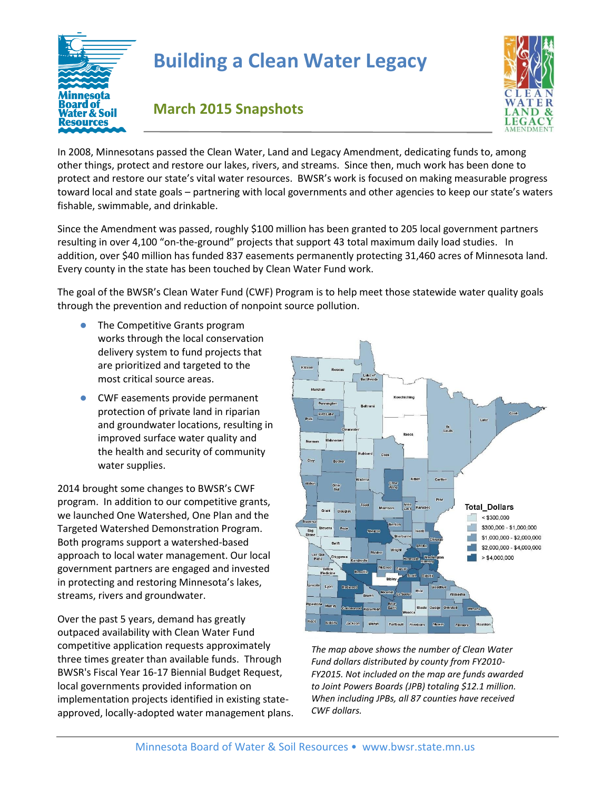

## **Building a Clean Water Legacy**



## **March 2015 Snapshots**

In 2008, Minnesotans passed the Clean Water, Land and Legacy Amendment, dedicating funds to, among other things, protect and restore our lakes, rivers, and streams. Since then, much work has been done to protect and restore our state's vital water resources. BWSR's work is focused on making measurable progress toward local and state goals – partnering with local governments and other agencies to keep our state's waters fishable, swimmable, and drinkable.

Since the Amendment was passed, roughly \$100 million has been granted to 205 local government partners resulting in over 4,100 "on-the-ground" projects that support 43 total maximum daily load studies. In addition, over \$40 million has funded 837 easements permanently protecting 31,460 acres of Minnesota land. Every county in the state has been touched by Clean Water Fund work.

The goal of the BWSR's Clean Water Fund (CWF) Program is to help meet those statewide water quality goals through the prevention and reduction of nonpoint source pollution.

- The Competitive Grants program works through the local conservation delivery system to fund projects that are prioritized and targeted to the most critical source areas.
- CWF easements provide permanent protection of private land in riparian and groundwater locations, resulting in improved surface water quality and the health and security of community water supplies.

2014 brought some changes to BWSR's CWF program. In addition to our competitive grants, we launched One Watershed, One Plan and the Targeted Watershed Demonstration Program. Both programs support a watershed-based approach to local water management. Our local government partners are engaged and invested in protecting and restoring Minnesota's lakes, streams, rivers and groundwater.

Over the past 5 years, demand has greatly outpaced availability with Clean Water Fund competitive application requests approximately three times greater than available funds. Through BWSR's Fiscal Year 16-17 Biennial Budget Request, local governments provided information on implementation projects identified in existing stateapproved, locally-adopted water management plans.



*The map above shows the number of Clean Water Fund dollars distributed by county from FY2010- FY2015. Not included on the map are funds awarded to Joint Powers Boards (JPB) totaling \$12.1 million. When including JPBs, all 87 counties have received CWF dollars.*